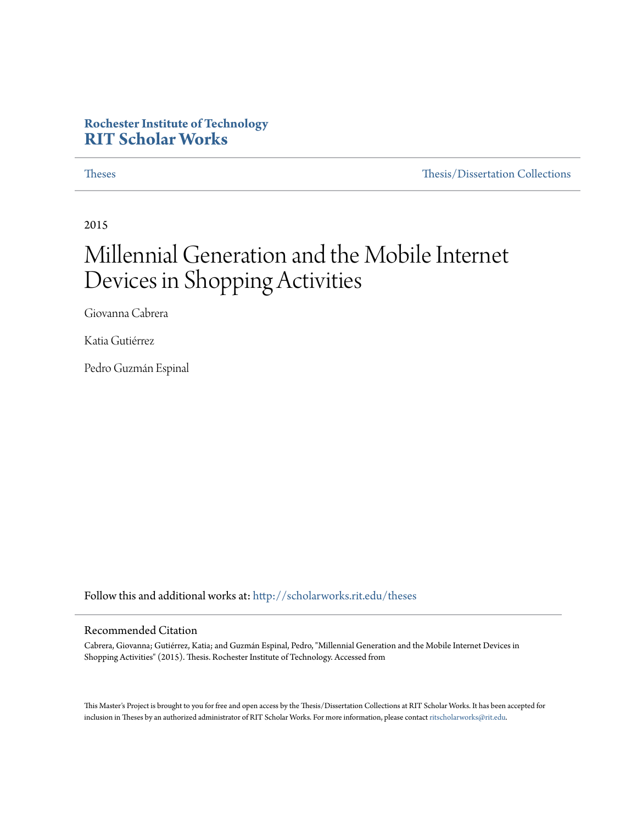# **Rochester Institute of Technology [RIT Scholar Works](http://scholarworks.rit.edu?utm_source=scholarworks.rit.edu%2Ftheses%2F8698&utm_medium=PDF&utm_campaign=PDFCoverPages)**

[Theses](http://scholarworks.rit.edu/theses?utm_source=scholarworks.rit.edu%2Ftheses%2F8698&utm_medium=PDF&utm_campaign=PDFCoverPages) [Thesis/Dissertation Collections](http://scholarworks.rit.edu/etd_collections?utm_source=scholarworks.rit.edu%2Ftheses%2F8698&utm_medium=PDF&utm_campaign=PDFCoverPages)

2015

# Millennial Generation and the Mobile Internet Devices in Shopping Activities

Giovanna Cabrera

Katia Gutiérrez

Pedro Guzmán Espinal

Follow this and additional works at: [http://scholarworks.rit.edu/theses](http://scholarworks.rit.edu/theses?utm_source=scholarworks.rit.edu%2Ftheses%2F8698&utm_medium=PDF&utm_campaign=PDFCoverPages)

#### Recommended Citation

Cabrera, Giovanna; Gutiérrez, Katia; and Guzmán Espinal, Pedro, "Millennial Generation and the Mobile Internet Devices in Shopping Activities" (2015). Thesis. Rochester Institute of Technology. Accessed from

This Master's Project is brought to you for free and open access by the Thesis/Dissertation Collections at RIT Scholar Works. It has been accepted for inclusion in Theses by an authorized administrator of RIT Scholar Works. For more information, please contact [ritscholarworks@rit.edu](mailto:ritscholarworks@rit.edu).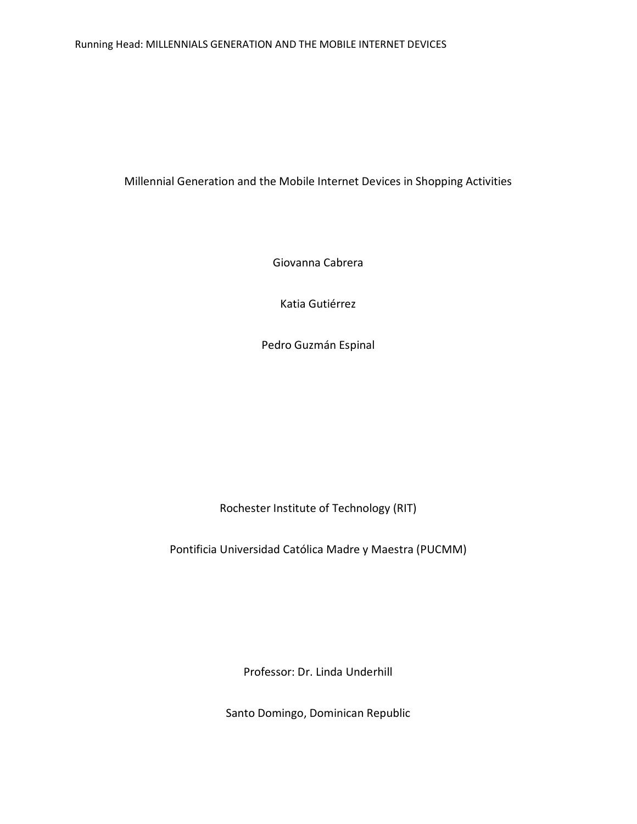#### Running Head: MILLENNIALS GENERATION AND THE MOBILE INTERNET DEVICES

Millennial Generation and the Mobile Internet Devices in Shopping Activities

Giovanna Cabrera

Katia Gutiérrez

Pedro Guzmán Espinal

Rochester Institute of Technology (RIT)

Pontificia Universidad Católica Madre y Maestra (PUCMM)

Professor: Dr. Linda Underhill

Santo Domingo, Dominican Republic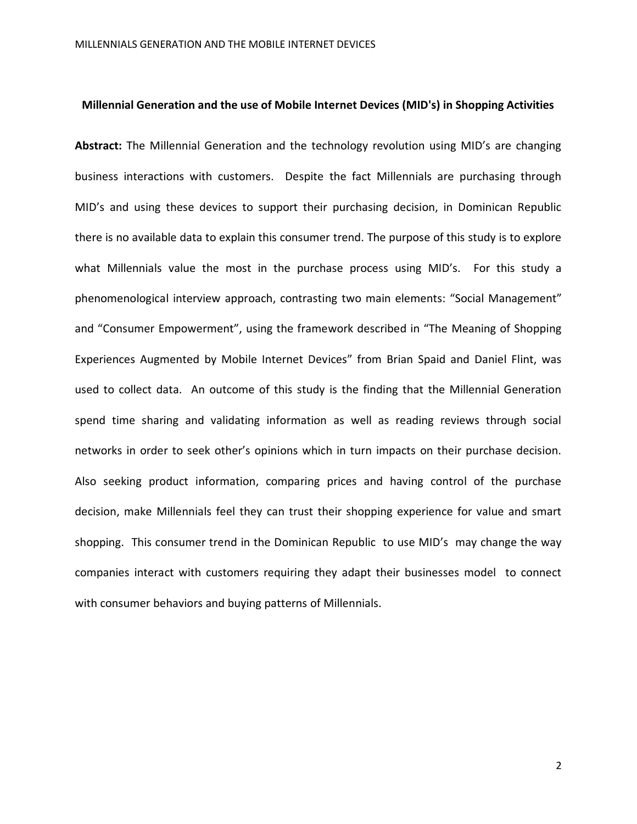#### **Millennial Generation and the use of Mobile Internet Devices (MID's) in Shopping Activities**

**Abstract:** The Millennial Generation and the technology revolution using MID's are changing business interactions with customers. Despite the fact Millennials are purchasing through MID's and using these devices to support their purchasing decision, in Dominican Republic there is no available data to explain this consumer trend. The purpose of this study is to explore what Millennials value the most in the purchase process using MID's. For this study a phenomenological interview approach, contrasting two main elements: "Social Management" and "Consumer Empowerment", using the framework described in "The Meaning of Shopping Experiences Augmented by Mobile Internet Devices" from Brian Spaid and Daniel Flint, was used to collect data. An outcome of this study is the finding that the Millennial Generation spend time sharing and validating information as well as reading reviews through social networks in order to seek other's opinions which in turn impacts on their purchase decision. Also seeking product information, comparing prices and having control of the purchase decision, make Millennials feel they can trust their shopping experience for value and smart shopping. This consumer trend in the Dominican Republic to use MID's may change the way companies interact with customers requiring they adapt their businesses model to connect with consumer behaviors and buying patterns of Millennials.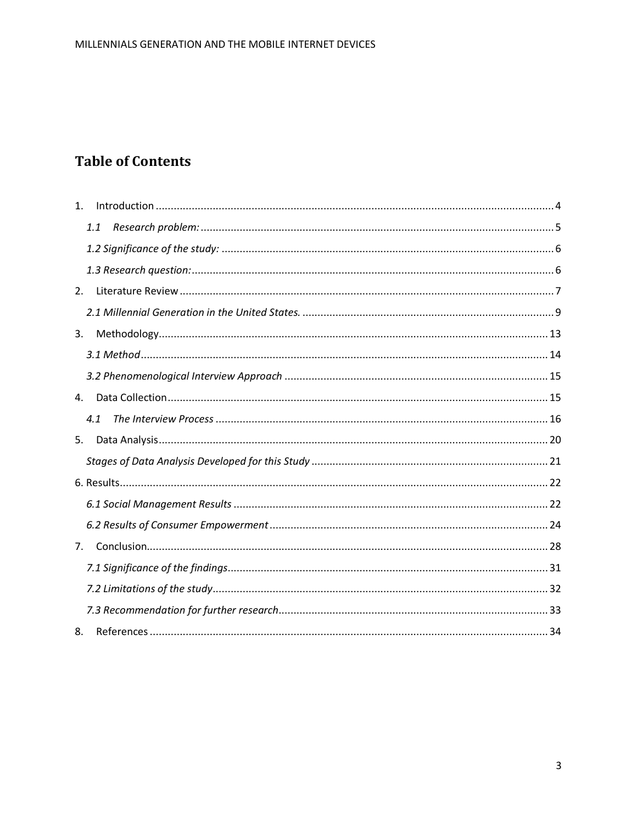# **Table of Contents**

| $\mathbf{1}$ . |
|----------------|
| 1.1            |
|                |
|                |
| 2.             |
|                |
| 3.             |
|                |
|                |
| 4.             |
| 4.1            |
| 5.             |
|                |
|                |
|                |
|                |
| 7.             |
|                |
|                |
|                |
| 8.             |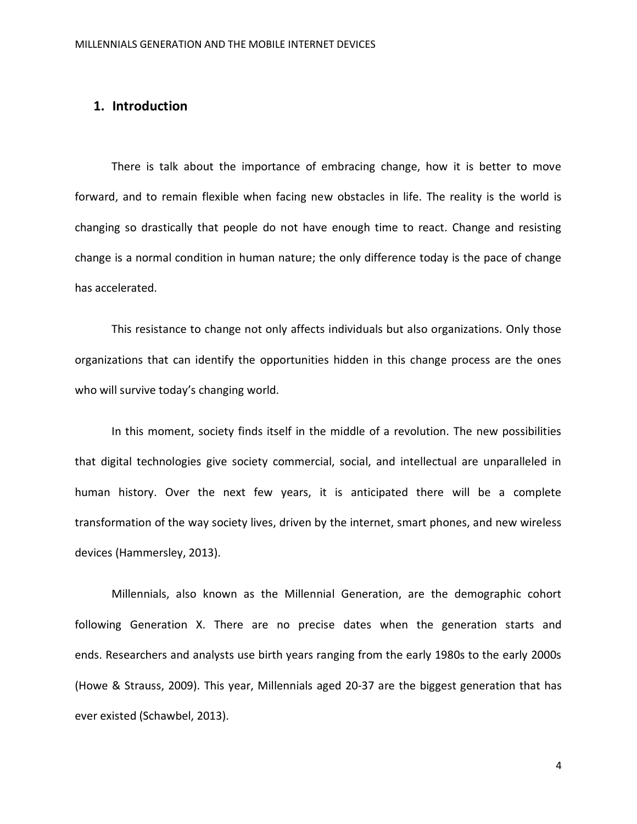# **1. Introduction**

There is talk about the importance of embracing change, how it is better to move forward, and to remain flexible when facing new obstacles in life. The reality is the world is changing so drastically that people do not have enough time to react. Change and resisting change is a normal condition in human nature; the only difference today is the pace of change has accelerated.

This resistance to change not only affects individuals but also organizations. Only those organizations that can identify the opportunities hidden in this change process are the ones who will survive today's changing world.

In this moment, society finds itself in the middle of a revolution. The new possibilities that digital technologies give society commercial, social, and intellectual are unparalleled in human history. Over the next few years, it is anticipated there will be a complete transformation of the way society lives, driven by the internet, smart phones, and new wireless devices (Hammersley, 2013).

Millennials, also known as the Millennial Generation, are the demographic cohort following Generation X. There are no precise dates when the generation starts and ends. Researchers and analysts use birth years ranging from the early 1980s to the early 2000s (Howe & Strauss, 2009). This year, Millennials aged 20-37 are the biggest generation that has ever existed (Schawbel, 2013).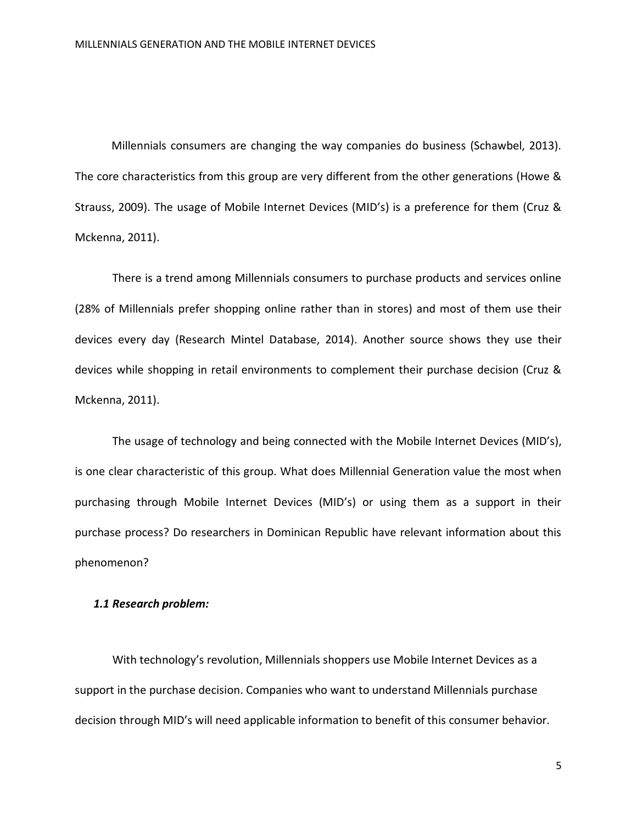Millennials consumers are changing the way companies do business (Schawbel, 2013). The core characteristics from this group are very different from the other generations (Howe & Strauss, 2009). The usage of Mobile Internet Devices (MID's) is a preference for them (Cruz & Mckenna, 2011).

There is a trend among Millennials consumers to purchase products and services online (28% of Millennials prefer shopping online rather than in stores) and most of them use their devices every day (Research Mintel Database, 2014). Another source shows they use their devices while shopping in retail environments to complement their purchase decision (Cruz & Mckenna, 2011).

The usage of technology and being connected with the Mobile Internet Devices (MID's), is one clear characteristic of this group. What does Millennial Generation value the most when purchasing through Mobile Internet Devices (MID's) or using them as a support in their purchase process? Do researchers in Dominican Republic have relevant information about this phenomenon?

#### *1.1 Research problem:*

With technology's revolution, Millennials shoppers use Mobile Internet Devices as a support in the purchase decision. Companies who want to understand Millennials purchase decision through MID's will need applicable information to benefit of this consumer behavior.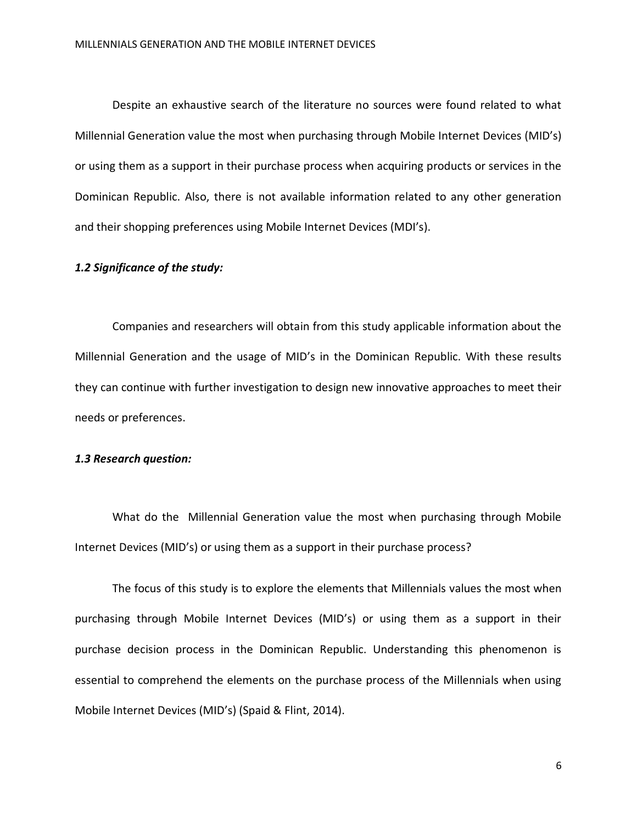Despite an exhaustive search of the literature no sources were found related to what Millennial Generation value the most when purchasing through Mobile Internet Devices (MID's) or using them as a support in their purchase process when acquiring products or services in the Dominican Republic. Also, there is not available information related to any other generation and their shopping preferences using Mobile Internet Devices (MDI's).

#### *1.2 Significance of the study:*

Companies and researchers will obtain from this study applicable information about the Millennial Generation and the usage of MID's in the Dominican Republic. With these results they can continue with further investigation to design new innovative approaches to meet their needs or preferences.

#### *1.3 Research question:*

What do the Millennial Generation value the most when purchasing through Mobile Internet Devices (MID's) or using them as a support in their purchase process?

The focus of this study is to explore the elements that Millennials values the most when purchasing through Mobile Internet Devices (MID's) or using them as a support in their purchase decision process in the Dominican Republic. Understanding this phenomenon is essential to comprehend the elements on the purchase process of the Millennials when using Mobile Internet Devices (MID's) (Spaid & Flint, 2014).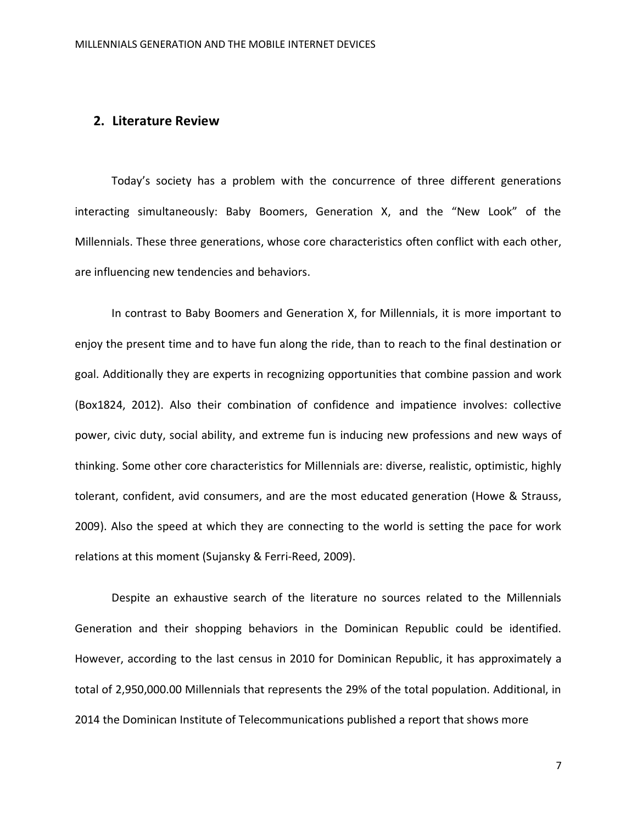# **2. Literature Review**

Today's society has a problem with the concurrence of three different generations interacting simultaneously: Baby Boomers, Generation X, and the "New Look" of the Millennials. These three generations, whose core characteristics often conflict with each other, are influencing new tendencies and behaviors.

In contrast to Baby Boomers and Generation X, for Millennials, it is more important to enjoy the present time and to have fun along the ride, than to reach to the final destination or goal. Additionally they are experts in recognizing opportunities that combine passion and work (Box1824, 2012). Also their combination of confidence and impatience involves: collective power, civic duty, social ability, and extreme fun is inducing new professions and new ways of thinking. Some other core characteristics for Millennials are: diverse, realistic, optimistic, highly tolerant, confident, avid consumers, and are the most educated generation (Howe & Strauss, 2009). Also the speed at which they are connecting to the world is setting the pace for work relations at this moment (Sujansky & Ferri-Reed, 2009).

Despite an exhaustive search of the literature no sources related to the Millennials Generation and their shopping behaviors in the Dominican Republic could be identified. However, according to the last census in 2010 for Dominican Republic, it has approximately a total of 2,950,000.00 Millennials that represents the 29% of the total population. Additional, in 2014 the Dominican Institute of Telecommunications published a report that shows more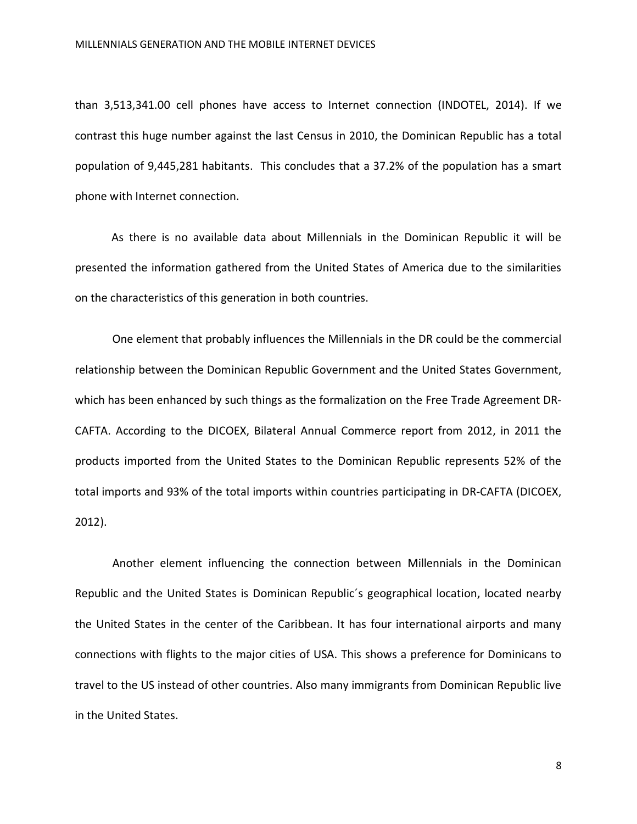than 3,513,341.00 cell phones have access to Internet connection (INDOTEL, 2014). If we contrast this huge number against the last Census in 2010, the Dominican Republic has a total population of 9,445,281 habitants. This concludes that a 37.2% of the population has a smart phone with Internet connection.

As there is no available data about Millennials in the Dominican Republic it will be presented the information gathered from the United States of America due to the similarities on the characteristics of this generation in both countries.

One element that probably influences the Millennials in the DR could be the commercial relationship between the Dominican Republic Government and the United States Government, which has been enhanced by such things as the formalization on the Free Trade Agreement DR-CAFTA. According to the DICOEX, Bilateral Annual Commerce report from 2012, in 2011 the products imported from the United States to the Dominican Republic represents 52% of the total imports and 93% of the total imports within countries participating in DR-CAFTA (DICOEX, 2012).

Another element influencing the connection between Millennials in the Dominican Republic and the United States is Dominican Republic´s geographical location, located nearby the United States in the center of the Caribbean. It has four international airports and many connections with flights to the major cities of USA. This shows a preference for Dominicans to travel to the US instead of other countries. Also many immigrants from Dominican Republic live in the United States.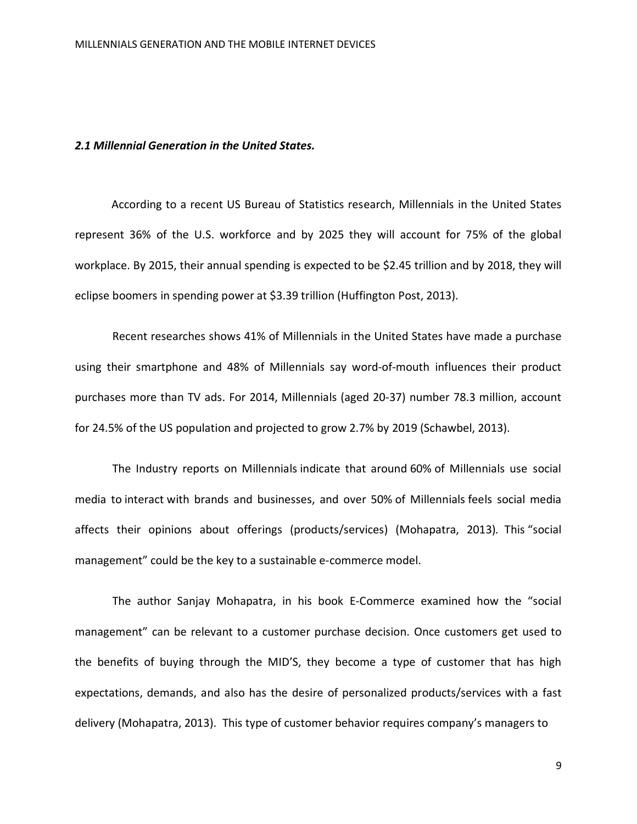#### *2.1 Millennial Generation in the United States.*

According to a recent US Bureau of Statistics research, Millennials in the United States represent 36% of the U.S. workforce and by 2025 they will account for 75% of the global workplace. By 2015, their annual spending is expected to be \$2.45 trillion and by 2018, they will eclipse boomers in spending power at \$3.39 trillion (Huffington Post, 2013).

Recent researches shows 41% of Millennials in the United States have made a purchase using their smartphone and 48% of Millennials say word-of-mouth influences their product purchases more than TV ads. For 2014, Millennials (aged 20-37) number 78.3 million, account for 24.5% of the US population and projected to grow 2.7% by 2019 (Schawbel, 2013).

The Industry reports on Millennials indicate that around 60% of Millennials use social media to interact with brands and businesses, and over 50% of Millennials feels social media affects their opinions about offerings (products/services) (Mohapatra, 2013)*.* This "social management" could be the key to a sustainable e-commerce model.

The author Sanjay Mohapatra, in his book E-Commerce examined how the "social management" can be relevant to a customer purchase decision. Once customers get used to the benefits of buying through the MID'S, they become a type of customer that has high expectations, demands, and also has the desire of personalized products/services with a fast delivery (Mohapatra, 2013). This type of customer behavior requires company's managers to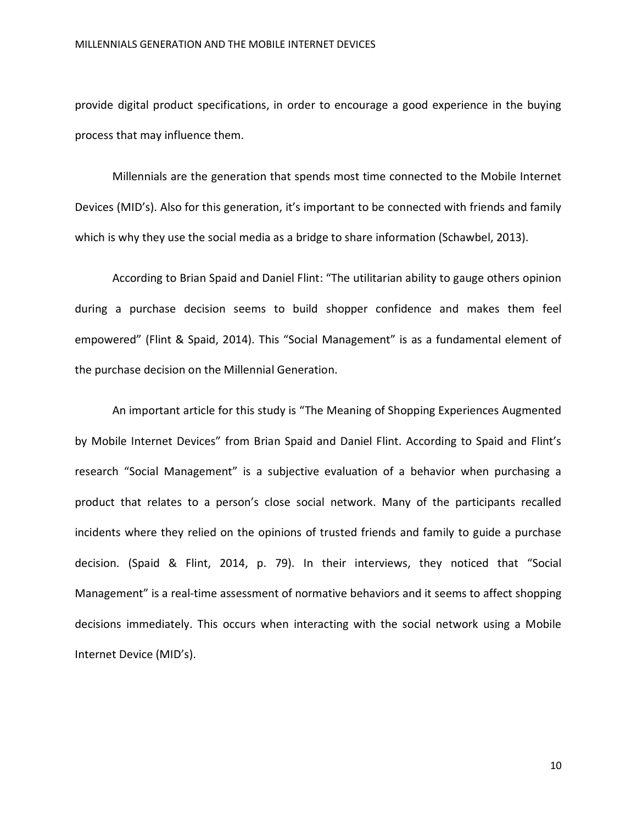provide digital product specifications, in order to encourage a good experience in the buying process that may influence them.

Millennials are the generation that spends most time connected to the Mobile Internet Devices (MID's). Also for this generation, it's important to be connected with friends and family which is why they use the social media as a bridge to share information (Schawbel, 2013).

According to Brian Spaid and Daniel Flint: "The utilitarian ability to gauge others opinion during a purchase decision seems to build shopper confidence and makes them feel empowered" (Flint & Spaid, 2014). This "Social Management" is as a fundamental element of the purchase decision on the Millennial Generation.

An important article for this study is "The Meaning of Shopping Experiences Augmented by Mobile Internet Devices" from Brian Spaid and Daniel Flint. According to Spaid and Flint's research "Social Management" is a subjective evaluation of a behavior when purchasing a product that relates to a person's close social network. Many of the participants recalled incidents where they relied on the opinions of trusted friends and family to guide a purchase decision. (Spaid & Flint, 2014, p. 79). In their interviews, they noticed that "Social Management" is a real-time assessment of normative behaviors and it seems to affect shopping decisions immediately. This occurs when interacting with the social network using a Mobile Internet Device (MID's).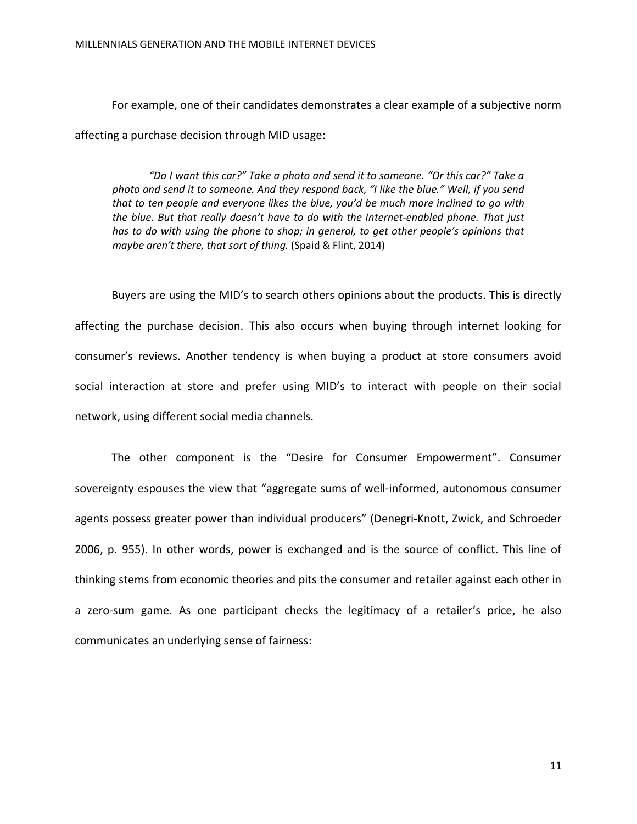For example, one of their candidates demonstrates a clear example of a subjective norm affecting a purchase decision through MID usage:

*"Do I want this car?" Take a photo and send it to someone. "Or this car?" Take a photo and send it to someone. And they respond back, "I like the blue." Well, if you send that to ten people and everyone likes the blue, you'd be much more inclined to go with the blue. But that really doesn't have to do with the Internet-enabled phone. That just has to do with using the phone to shop; in general, to get other people's opinions that maybe aren't there, that sort of thing.* (Spaid & Flint, 2014)

Buyers are using the MID's to search others opinions about the products. This is directly affecting the purchase decision. This also occurs when buying through internet looking for consumer's reviews. Another tendency is when buying a product at store consumers avoid social interaction at store and prefer using MID's to interact with people on their social network, using different social media channels.

The other component is the "Desire for Consumer Empowerment". Consumer sovereignty espouses the view that "aggregate sums of well-informed, autonomous consumer agents possess greater power than individual producers" (Denegri-Knott, Zwick, and Schroeder 2006, p. 955). In other words, power is exchanged and is the source of conflict. This line of thinking stems from economic theories and pits the consumer and retailer against each other in a zero-sum game. As one participant checks the legitimacy of a retailer's price, he also communicates an underlying sense of fairness: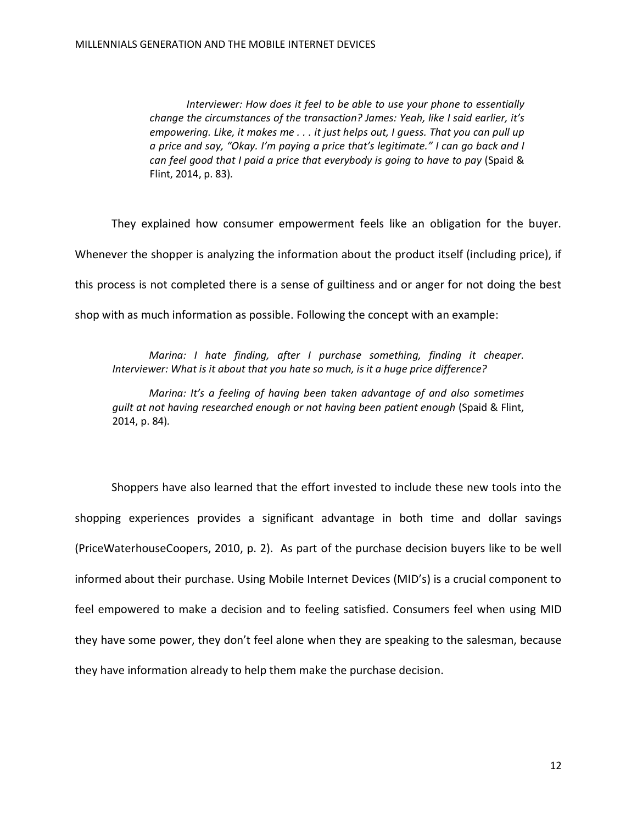*Interviewer: How does it feel to be able to use your phone to essentially change the circumstances of the transaction? James: Yeah, like I said earlier, it's empowering. Like, it makes me . . . it just helps out, I guess. That you can pull up a price and say, "Okay. I'm paying a price that's legitimate." I can go back and I can feel good that I paid a price that everybody is going to have to pay* (Spaid & Flint, 2014, p. 83)*.* 

They explained how consumer empowerment feels like an obligation for the buyer. Whenever the shopper is analyzing the information about the product itself (including price), if this process is not completed there is a sense of guiltiness and or anger for not doing the best shop with as much information as possible. Following the concept with an example:

*Marina: I hate finding, after I purchase something, finding it cheaper. Interviewer: What is it about that you hate so much, is it a huge price difference?*

*Marina: It's a feeling of having been taken advantage of and also sometimes guilt at not having researched enough or not having been patient enough* (Spaid & Flint, 2014, p. 84)*.*

Shoppers have also learned that the effort invested to include these new tools into the shopping experiences provides a significant advantage in both time and dollar savings (PriceWaterhouseCoopers, 2010, p. 2). As part of the purchase decision buyers like to be well informed about their purchase. Using Mobile Internet Devices (MID's) is a crucial component to feel empowered to make a decision and to feeling satisfied. Consumers feel when using MID they have some power, they don't feel alone when they are speaking to the salesman, because they have information already to help them make the purchase decision.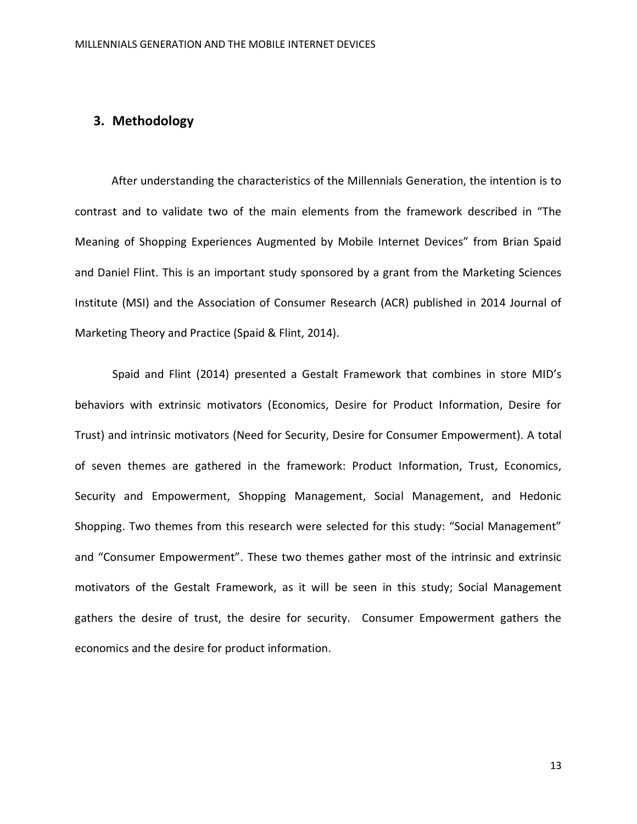# **3. Methodology**

After understanding the characteristics of the Millennials Generation, the intention is to contrast and to validate two of the main elements from the framework described in "The Meaning of Shopping Experiences Augmented by Mobile Internet Devices" from Brian Spaid and Daniel Flint. This is an important study sponsored by a grant from the Marketing Sciences Institute (MSI) and the Association of Consumer Research (ACR) published in 2014 Journal of Marketing Theory and Practice (Spaid & Flint, 2014).

Spaid and Flint (2014) presented a Gestalt Framework that combines in store MID's behaviors with extrinsic motivators (Economics, Desire for Product Information, Desire for Trust) and intrinsic motivators (Need for Security, Desire for Consumer Empowerment). A total of seven themes are gathered in the framework: Product Information, Trust, Economics, Security and Empowerment, Shopping Management, Social Management, and Hedonic Shopping. Two themes from this research were selected for this study: "Social Management" and "Consumer Empowerment". These two themes gather most of the intrinsic and extrinsic motivators of the Gestalt Framework, as it will be seen in this study; Social Management gathers the desire of trust, the desire for security. Consumer Empowerment gathers the economics and the desire for product information.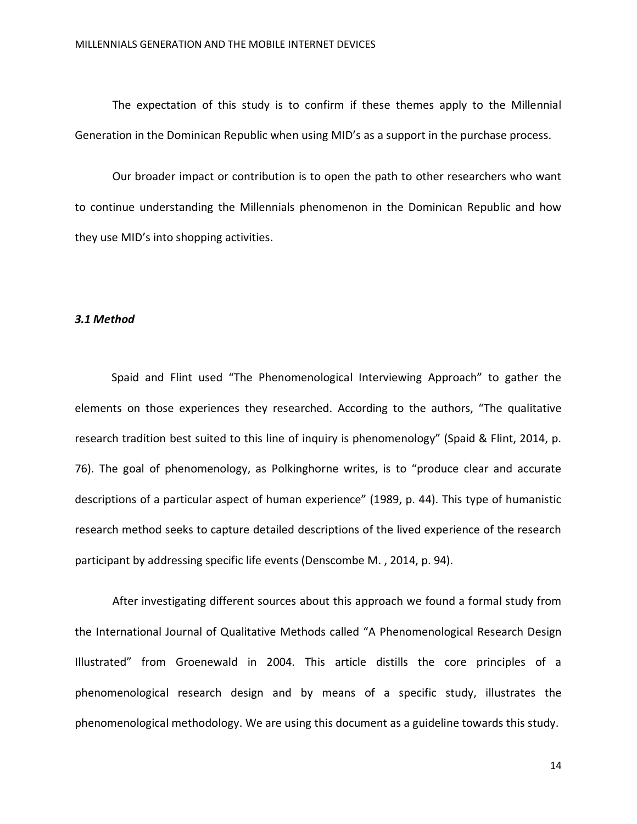The expectation of this study is to confirm if these themes apply to the Millennial Generation in the Dominican Republic when using MID's as a support in the purchase process.

Our broader impact or contribution is to open the path to other researchers who want to continue understanding the Millennials phenomenon in the Dominican Republic and how they use MID's into shopping activities.

#### *3.1 Method*

Spaid and Flint used "The Phenomenological Interviewing Approach" to gather the elements on those experiences they researched. According to the authors, "The qualitative research tradition best suited to this line of inquiry is phenomenology" (Spaid & Flint, 2014, p. 76). The goal of phenomenology, as Polkinghorne writes, is to "produce clear and accurate descriptions of a particular aspect of human experience" (1989, p. 44). This type of humanistic research method seeks to capture detailed descriptions of the lived experience of the research participant by addressing specific life events (Denscombe M. , 2014, p. 94).

After investigating different sources about this approach we found a formal study from the International Journal of Qualitative Methods called "A Phenomenological Research Design Illustrated" from Groenewald in 2004. This article distills the core principles of a phenomenological research design and by means of a specific study, illustrates the phenomenological methodology. We are using this document as a guideline towards this study.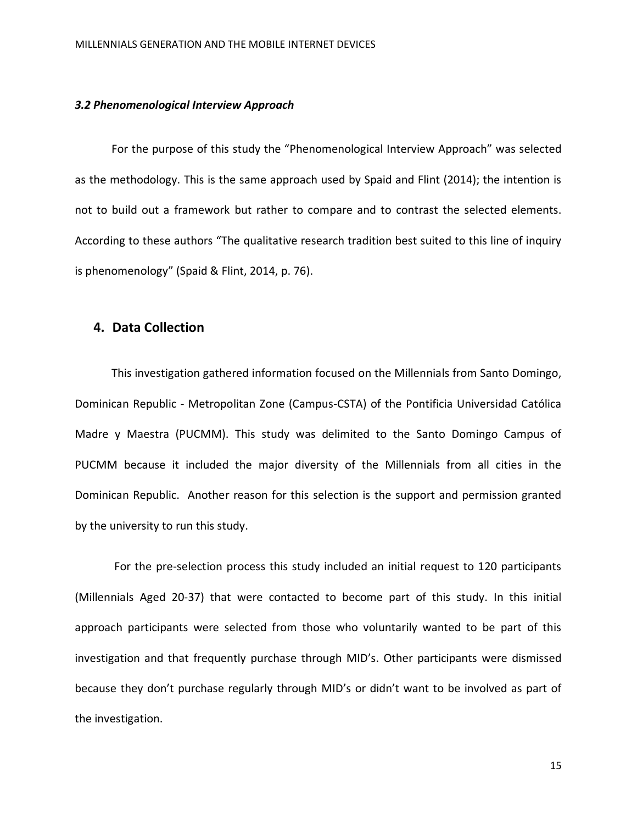#### *3.2 Phenomenological Interview Approach*

For the purpose of this study the "Phenomenological Interview Approach" was selected as the methodology. This is the same approach used by Spaid and Flint (2014); the intention is not to build out a framework but rather to compare and to contrast the selected elements. According to these authors "The qualitative research tradition best suited to this line of inquiry is phenomenology" (Spaid & Flint, 2014, p. 76).

# **4. Data Collection**

This investigation gathered information focused on the Millennials from Santo Domingo, Dominican Republic - Metropolitan Zone (Campus-CSTA) of the Pontificia Universidad Católica Madre y Maestra (PUCMM). This study was delimited to the Santo Domingo Campus of PUCMM because it included the major diversity of the Millennials from all cities in the Dominican Republic. Another reason for this selection is the support and permission granted by the university to run this study.

For the pre-selection process this study included an initial request to 120 participants (Millennials Aged 20-37) that were contacted to become part of this study. In this initial approach participants were selected from those who voluntarily wanted to be part of this investigation and that frequently purchase through MID's. Other participants were dismissed because they don't purchase regularly through MID's or didn't want to be involved as part of the investigation.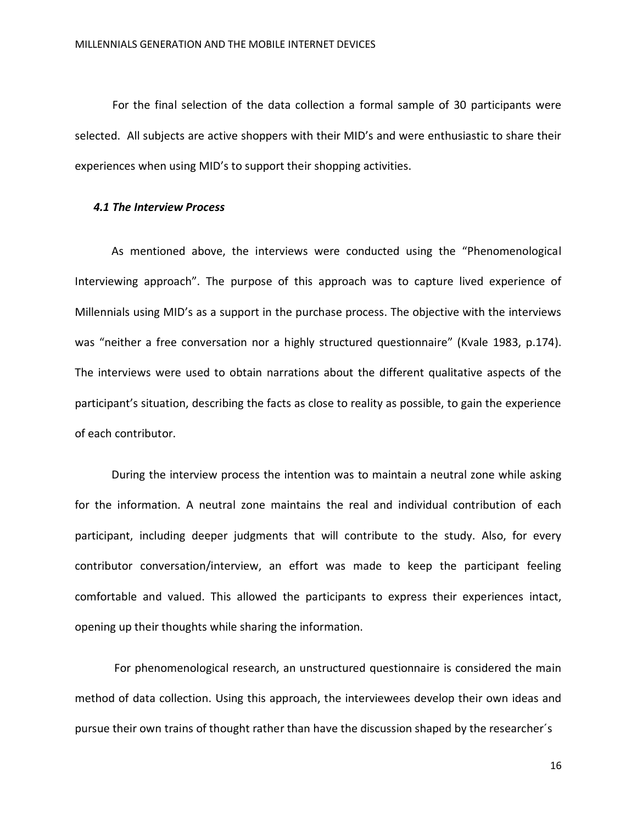For the final selection of the data collection a formal sample of 30 participants were selected. All subjects are active shoppers with their MID's and were enthusiastic to share their experiences when using MID's to support their shopping activities.

#### *4.1 The Interview Process*

As mentioned above, the interviews were conducted using the "Phenomenological Interviewing approach". The purpose of this approach was to capture lived experience of Millennials using MID's as a support in the purchase process. The objective with the interviews was "neither a free conversation nor a highly structured questionnaire" (Kvale 1983, p.174). The interviews were used to obtain narrations about the different qualitative aspects of the participant's situation, describing the facts as close to reality as possible, to gain the experience of each contributor.

During the interview process the intention was to maintain a neutral zone while asking for the information. A neutral zone maintains the real and individual contribution of each participant, including deeper judgments that will contribute to the study. Also, for every contributor conversation/interview, an effort was made to keep the participant feeling comfortable and valued. This allowed the participants to express their experiences intact, opening up their thoughts while sharing the information.

For phenomenological research, an unstructured questionnaire is considered the main method of data collection. Using this approach, the interviewees develop their own ideas and pursue their own trains of thought rather than have the discussion shaped by the researcher´s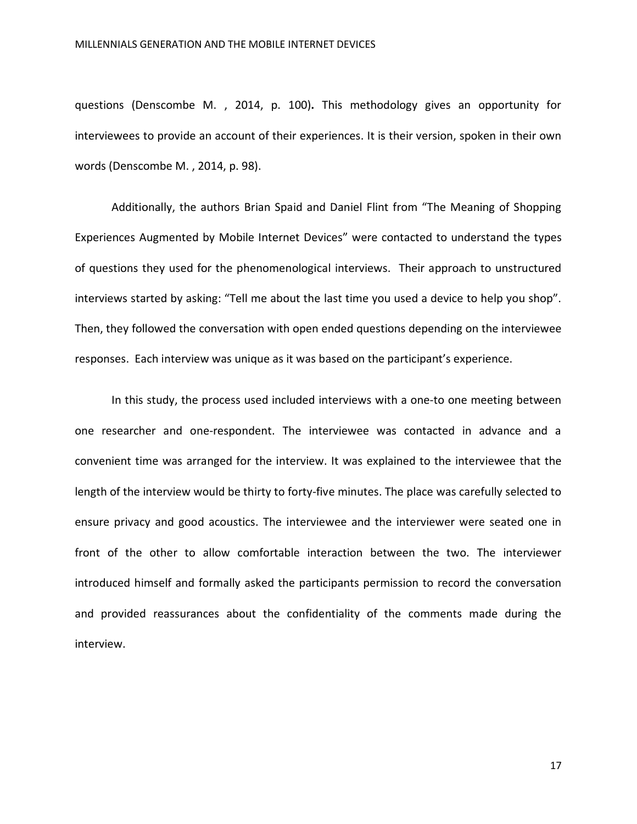questions (Denscombe M. , 2014, p. 100)**.** This methodology gives an opportunity for interviewees to provide an account of their experiences. It is their version, spoken in their own words (Denscombe M. , 2014, p. 98).

Additionally, the authors Brian Spaid and Daniel Flint from "The Meaning of Shopping Experiences Augmented by Mobile Internet Devices" were contacted to understand the types of questions they used for the phenomenological interviews. Their approach to unstructured interviews started by asking: "Tell me about the last time you used a device to help you shop". Then, they followed the conversation with open ended questions depending on the interviewee responses. Each interview was unique as it was based on the participant's experience.

In this study, the process used included interviews with a one-to one meeting between one researcher and one-respondent. The interviewee was contacted in advance and a convenient time was arranged for the interview. It was explained to the interviewee that the length of the interview would be thirty to forty-five minutes. The place was carefully selected to ensure privacy and good acoustics. The interviewee and the interviewer were seated one in front of the other to allow comfortable interaction between the two. The interviewer introduced himself and formally asked the participants permission to record the conversation and provided reassurances about the confidentiality of the comments made during the interview.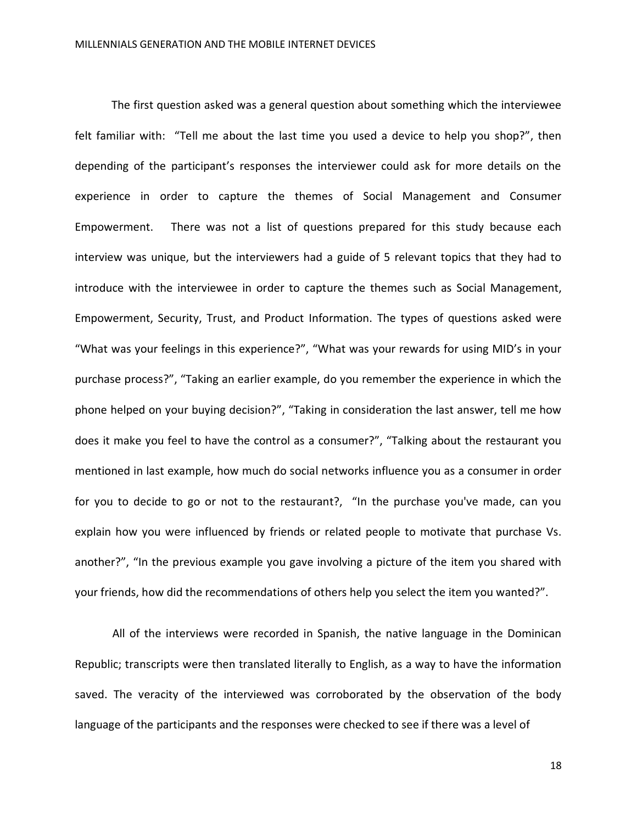The first question asked was a general question about something which the interviewee felt familiar with: "Tell me about the last time you used a device to help you shop?", then depending of the participant's responses the interviewer could ask for more details on the experience in order to capture the themes of Social Management and Consumer Empowerment. There was not a list of questions prepared for this study because each interview was unique, but the interviewers had a guide of 5 relevant topics that they had to introduce with the interviewee in order to capture the themes such as Social Management, Empowerment, Security, Trust, and Product Information. The types of questions asked were "What was your feelings in this experience?", "What was your rewards for using MID's in your purchase process?", "Taking an earlier example, do you remember the experience in which the phone helped on your buying decision?", "Taking in consideration the last answer, tell me how does it make you feel to have the control as a consumer?", "Talking about the restaurant you mentioned in last example, how much do social networks influence you as a consumer in order for you to decide to go or not to the restaurant?, "In the purchase you've made, can you explain how you were influenced by friends or related people to motivate that purchase Vs. another?", "In the previous example you gave involving a picture of the item you shared with your friends, how did the recommendations of others help you select the item you wanted?".

All of the interviews were recorded in Spanish, the native language in the Dominican Republic; transcripts were then translated literally to English, as a way to have the information saved. The veracity of the interviewed was corroborated by the observation of the body language of the participants and the responses were checked to see if there was a level of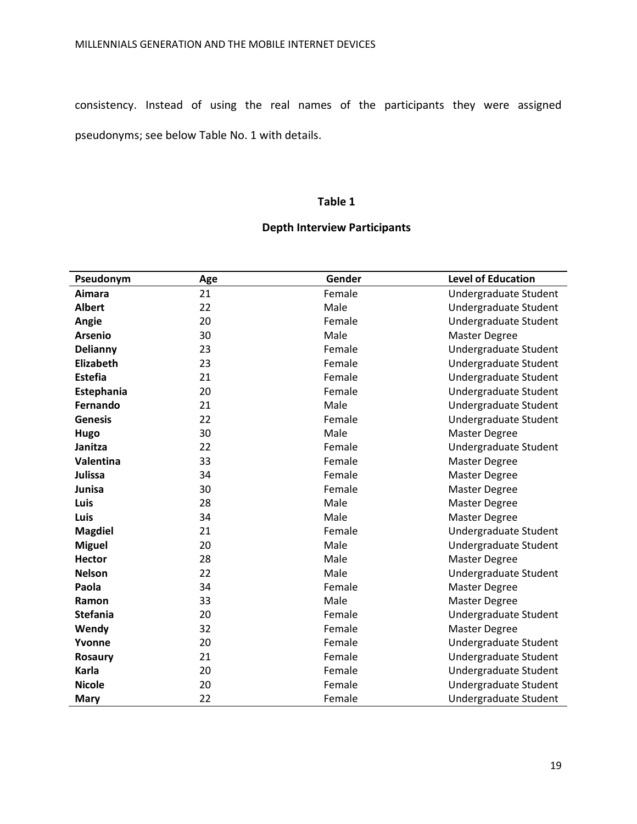consistency. Instead of using the real names of the participants they were assigned pseudonyms; see below Table No. 1 with details.

#### **Table 1**

# **Depth Interview Participants**

| Pseudonym       | Age | Gender | <b>Level of Education</b> |
|-----------------|-----|--------|---------------------------|
| Aimara          | 21  | Female | Undergraduate Student     |
| <b>Albert</b>   | 22  | Male   | Undergraduate Student     |
| Angie           | 20  | Female | Undergraduate Student     |
| <b>Arsenio</b>  | 30  | Male   | <b>Master Degree</b>      |
| Delianny        | 23  | Female | Undergraduate Student     |
| Elizabeth       | 23  | Female | Undergraduate Student     |
| <b>Estefia</b>  | 21  | Female | Undergraduate Student     |
| Estephania      | 20  | Female | Undergraduate Student     |
| Fernando        | 21  | Male   | Undergraduate Student     |
| <b>Genesis</b>  | 22  | Female | Undergraduate Student     |
| Hugo            | 30  | Male   | <b>Master Degree</b>      |
| Janitza         | 22  | Female | Undergraduate Student     |
| Valentina       | 33  | Female | <b>Master Degree</b>      |
| <b>Julissa</b>  | 34  | Female | <b>Master Degree</b>      |
| Junisa          | 30  | Female | <b>Master Degree</b>      |
| Luis            | 28  | Male   | Master Degree             |
| Luis            | 34  | Male   | <b>Master Degree</b>      |
| <b>Magdiel</b>  | 21  | Female | Undergraduate Student     |
| <b>Miguel</b>   | 20  | Male   | Undergraduate Student     |
| <b>Hector</b>   | 28  | Male   | <b>Master Degree</b>      |
| <b>Nelson</b>   | 22  | Male   | Undergraduate Student     |
| Paola           | 34  | Female | <b>Master Degree</b>      |
| Ramon           | 33  | Male   | <b>Master Degree</b>      |
| <b>Stefania</b> | 20  | Female | Undergraduate Student     |
| Wendy           | 32  | Female | <b>Master Degree</b>      |
| Yvonne          | 20  | Female | Undergraduate Student     |
| <b>Rosaury</b>  | 21  | Female | Undergraduate Student     |
| Karla           | 20  | Female | Undergraduate Student     |
| <b>Nicole</b>   | 20  | Female | Undergraduate Student     |
| <b>Mary</b>     | 22  | Female | Undergraduate Student     |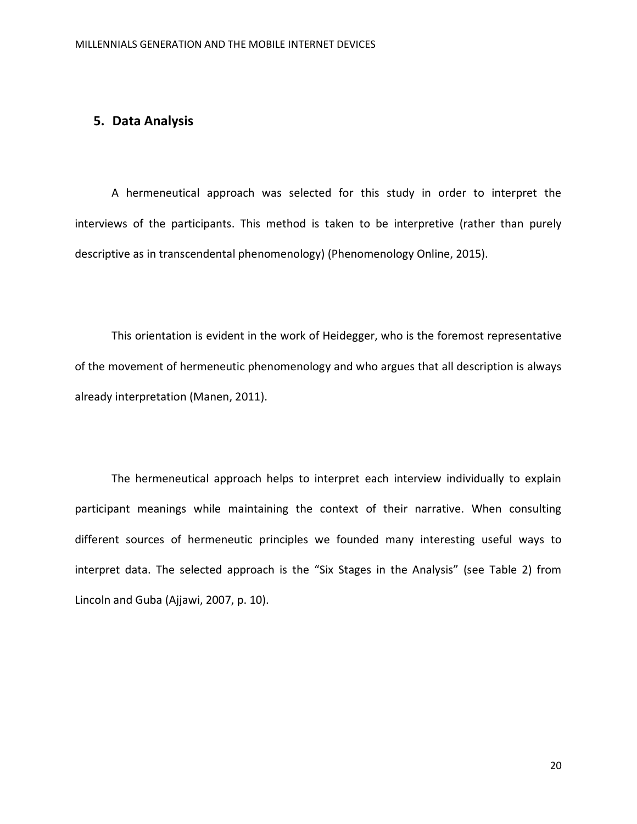# **5. Data Analysis**

A hermeneutical approach was selected for this study in order to interpret the interviews of the participants. This method is taken to be interpretive (rather than purely descriptive as in transcendental phenomenology) (Phenomenology Online, 2015).

This orientation is evident in the work of Heidegger, who is the foremost representative of the movement of hermeneutic phenomenology and who argues that all description is always already interpretation (Manen, 2011).

The hermeneutical approach helps to interpret each interview individually to explain participant meanings while maintaining the context of their narrative. When consulting different sources of hermeneutic principles we founded many interesting useful ways to interpret data. The selected approach is the "Six Stages in the Analysis" (see Table 2) from Lincoln and Guba (Ajjawi, 2007, p. 10).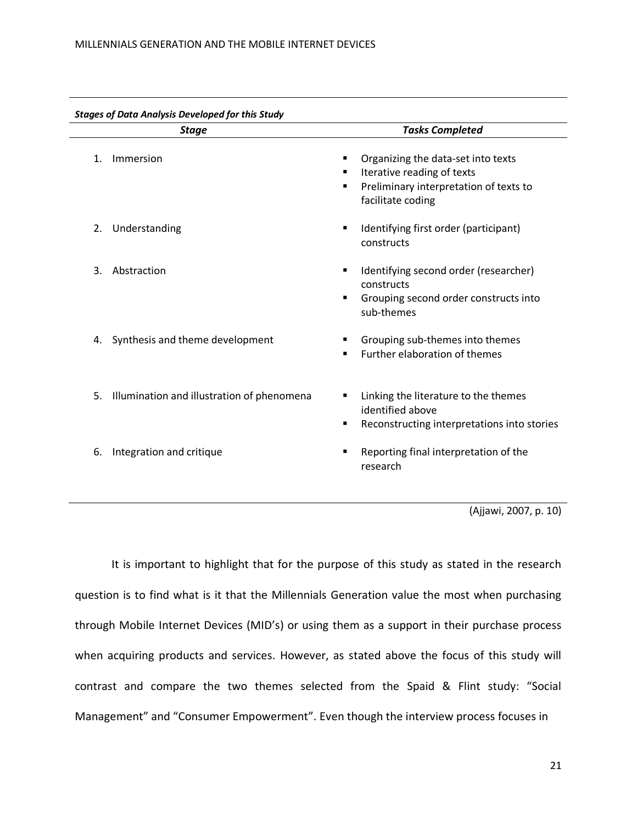| <b>Stage</b> |                                            | <b>Tasks Completed</b>                                                                                                                         |
|--------------|--------------------------------------------|------------------------------------------------------------------------------------------------------------------------------------------------|
| 1.           | Immersion                                  | Organizing the data-set into texts<br>٠<br>Iterative reading of texts<br>٠<br>Preliminary interpretation of texts to<br>٠<br>facilitate coding |
| 2.           | Understanding                              | Identifying first order (participant)<br>٠<br>constructs                                                                                       |
| 3.           | Abstraction                                | Identifying second order (researcher)<br>٠<br>constructs<br>Grouping second order constructs into<br>٠<br>sub-themes                           |
| 4.           | Synthesis and theme development            | Grouping sub-themes into themes<br>Further elaboration of themes<br>٠                                                                          |
| 5.           | Illumination and illustration of phenomena | Linking the literature to the themes<br>identified above<br>Reconstructing interpretations into stories                                        |
| 6.           | Integration and critique                   | Reporting final interpretation of the<br>٠<br>research                                                                                         |

(Ajjawi, 2007, p. 10)

It is important to highlight that for the purpose of this study as stated in the research question is to find what is it that the Millennials Generation value the most when purchasing through Mobile Internet Devices (MID's) or using them as a support in their purchase process when acquiring products and services. However, as stated above the focus of this study will contrast and compare the two themes selected from the Spaid & Flint study: "Social Management" and "Consumer Empowerment". Even though the interview process focuses in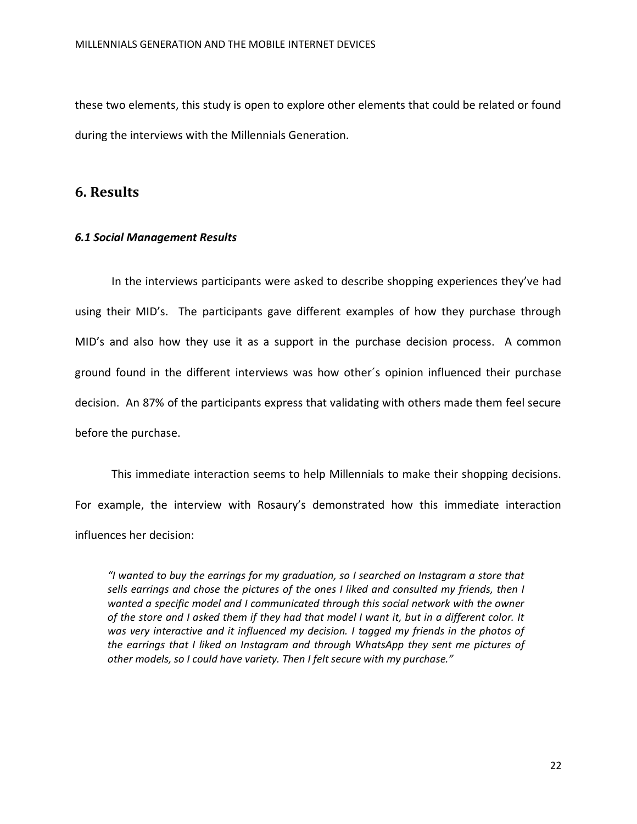these two elements, this study is open to explore other elements that could be related or found during the interviews with the Millennials Generation.

# **6. Results**

#### *6.1 Social Management Results*

In the interviews participants were asked to describe shopping experiences they've had using their MID's. The participants gave different examples of how they purchase through MID's and also how they use it as a support in the purchase decision process. A common ground found in the different interviews was how other´s opinion influenced their purchase decision. An 87% of the participants express that validating with others made them feel secure before the purchase.

This immediate interaction seems to help Millennials to make their shopping decisions. For example, the interview with Rosaury's demonstrated how this immediate interaction influences her decision:

*"I wanted to buy the earrings for my graduation, so I searched on Instagram a store that sells earrings and chose the pictures of the ones I liked and consulted my friends, then I wanted a specific model and I communicated through this social network with the owner of the store and I asked them if they had that model I want it, but in a different color. It was very interactive and it influenced my decision. I tagged my friends in the photos of the earrings that I liked on Instagram and through WhatsApp they sent me pictures of other models, so I could have variety. Then I felt secure with my purchase."*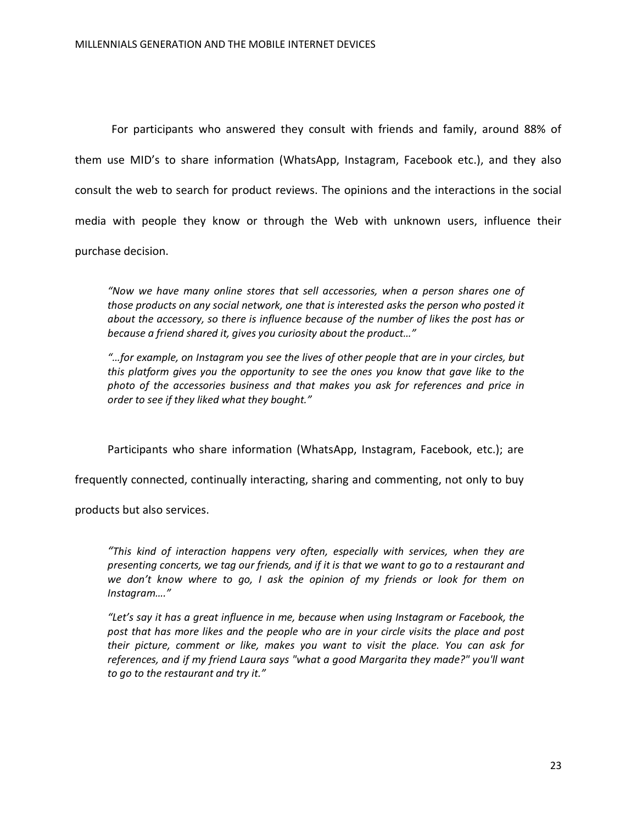For participants who answered they consult with friends and family, around 88% of them use MID's to share information (WhatsApp, Instagram, Facebook etc.), and they also consult the web to search for product reviews. The opinions and the interactions in the social media with people they know or through the Web with unknown users, influence their purchase decision.

*"Now we have many online stores that sell accessories, when a person shares one of those products on any social network, one that is interested asks the person who posted it about the accessory, so there is influence because of the number of likes the post has or because a friend shared it, gives you curiosity about the product…"*

*"…for example, on Instagram you see the lives of other people that are in your circles, but this platform gives you the opportunity to see the ones you know that gave like to the photo of the accessories business and that makes you ask for references and price in order to see if they liked what they bought."*

Participants who share information (WhatsApp, Instagram, Facebook, etc.); are

frequently connected, continually interacting, sharing and commenting, not only to buy

products but also services.

*"This kind of interaction happens very often, especially with services, when they are presenting concerts, we tag our friends, and if it is that we want to go to a restaurant and we don't know where to go, I ask the opinion of my friends or look for them on Instagram…."* 

*"Let's say it has a great influence in me, because when using Instagram or Facebook, the post that has more likes and the people who are in your circle visits the place and post their picture, comment or like, makes you want to visit the place. You can ask for references, and if my friend Laura says "what a good Margarita they made?" you'll want to go to the restaurant and try it."*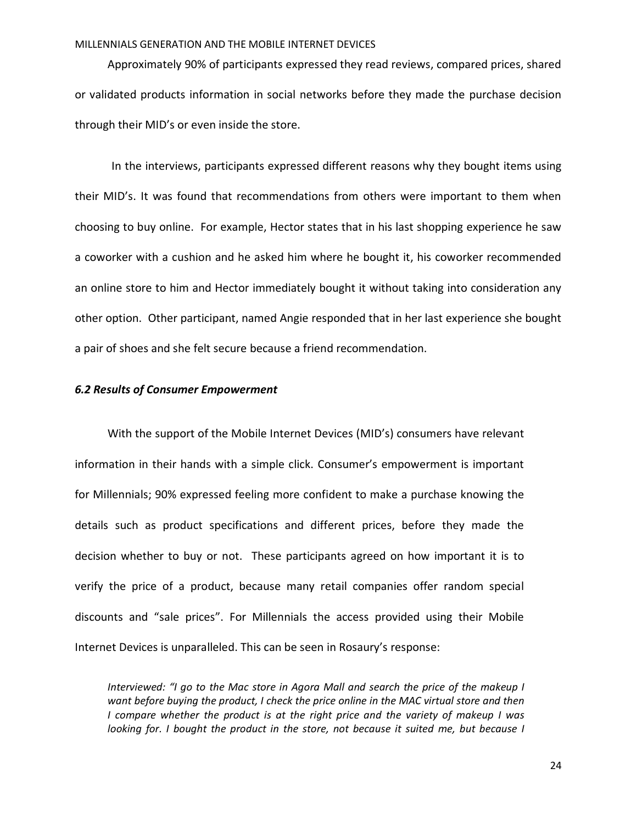#### MILLENNIALS GENERATION AND THE MOBILE INTERNET DEVICES

Approximately 90% of participants expressed they read reviews, compared prices, shared or validated products information in social networks before they made the purchase decision through their MID's or even inside the store.

In the interviews, participants expressed different reasons why they bought items using their MID's. It was found that recommendations from others were important to them when choosing to buy online. For example, Hector states that in his last shopping experience he saw a coworker with a cushion and he asked him where he bought it, his coworker recommended an online store to him and Hector immediately bought it without taking into consideration any other option. Other participant, named Angie responded that in her last experience she bought a pair of shoes and she felt secure because a friend recommendation.

#### *6.2 Results of Consumer Empowerment*

With the support of the Mobile Internet Devices (MID's) consumers have relevant information in their hands with a simple click. Consumer's empowerment is important for Millennials; 90% expressed feeling more confident to make a purchase knowing the details such as product specifications and different prices, before they made the decision whether to buy or not. These participants agreed on how important it is to verify the price of a product, because many retail companies offer random special discounts and "sale prices". For Millennials the access provided using their Mobile Internet Devices is unparalleled. This can be seen in Rosaury's response:

*Interviewed: "I go to the Mac store in Agora Mall and search the price of the makeup I want before buying the product, I check the price online in the MAC virtual store and then I compare whether the product is at the right price and the variety of makeup I was looking for. I bought the product in the store, not because it suited me, but because I*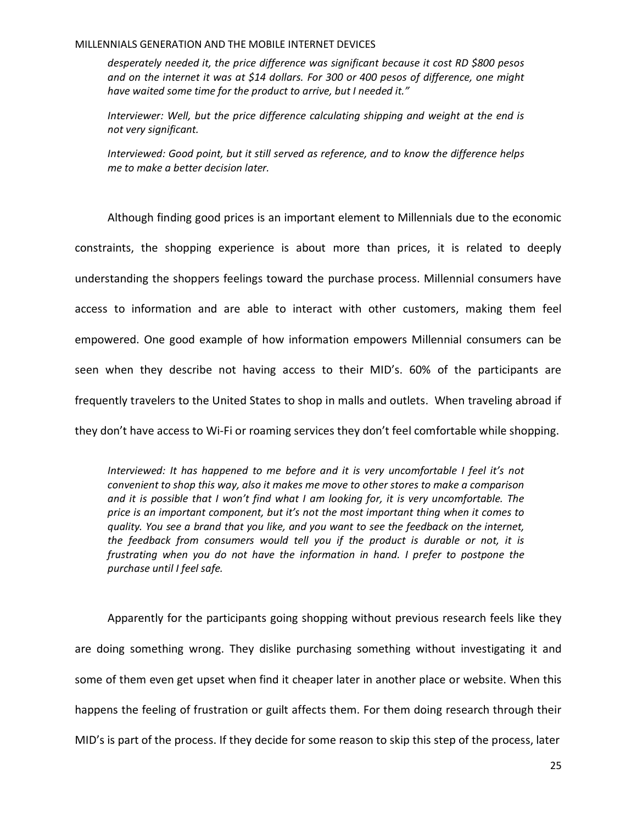#### MILLENNIALS GENERATION AND THE MOBILE INTERNET DEVICES

*desperately needed it, the price difference was significant because it cost RD \$800 pesos and on the internet it was at \$14 dollars. For 300 or 400 pesos of difference, one might have waited some time for the product to arrive, but I needed it."*

*Interviewer: Well, but the price difference calculating shipping and weight at the end is not very significant.* 

*Interviewed: Good point, but it still served as reference, and to know the difference helps me to make a better decision later.*

Although finding good prices is an important element to Millennials due to the economic constraints, the shopping experience is about more than prices, it is related to deeply understanding the shoppers feelings toward the purchase process. Millennial consumers have access to information and are able to interact with other customers, making them feel empowered. One good example of how information empowers Millennial consumers can be seen when they describe not having access to their MID's. 60% of the participants are frequently travelers to the United States to shop in malls and outlets. When traveling abroad if they don't have access to Wi-Fi or roaming services they don't feel comfortable while shopping.

*Interviewed: It has happened to me before and it is very uncomfortable I feel it's not convenient to shop this way, also it makes me move to other stores to make a comparison and it is possible that I won't find what I am looking for, it is very uncomfortable. The price is an important component, but it's not the most important thing when it comes to quality. You see a brand that you like, and you want to see the feedback on the internet, the feedback from consumers would tell you if the product is durable or not, it is frustrating when you do not have the information in hand. I prefer to postpone the purchase until I feel safe.*

Apparently for the participants going shopping without previous research feels like they are doing something wrong. They dislike purchasing something without investigating it and some of them even get upset when find it cheaper later in another place or website. When this happens the feeling of frustration or guilt affects them. For them doing research through their MID's is part of the process. If they decide for some reason to skip this step of the process, later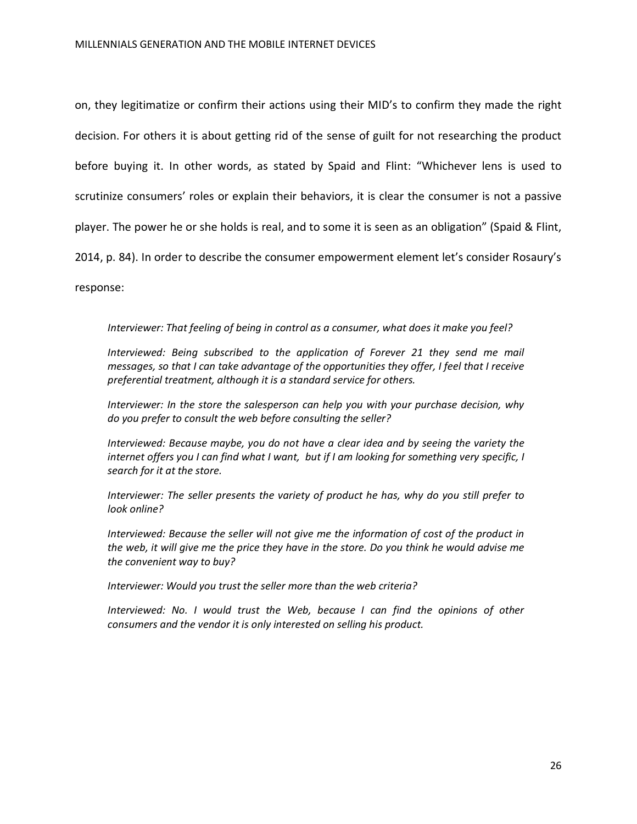on, they legitimatize or confirm their actions using their MID's to confirm they made the right decision. For others it is about getting rid of the sense of guilt for not researching the product before buying it. In other words, as stated by Spaid and Flint: "Whichever lens is used to scrutinize consumers' roles or explain their behaviors, it is clear the consumer is not a passive player. The power he or she holds is real, and to some it is seen as an obligation" (Spaid & Flint, 2014, p. 84). In order to describe the consumer empowerment element let's consider Rosaury's

response:

#### *Interviewer: That feeling of being in control as a consumer, what does it make you feel?*

*Interviewed: Being subscribed to the application of Forever 21 they send me mail messages, so that I can take advantage of the opportunities they offer, I feel that I receive preferential treatment, although it is a standard service for others.* 

*Interviewer: In the store the salesperson can help you with your purchase decision, why do you prefer to consult the web before consulting the seller?* 

*Interviewed: Because maybe, you do not have a clear idea and by seeing the variety the internet offers you I can find what I want, but if I am looking for something very specific, I search for it at the store.* 

*Interviewer: The seller presents the variety of product he has, why do you still prefer to look online?*

*Interviewed: Because the seller will not give me the information of cost of the product in the web, it will give me the price they have in the store. Do you think he would advise me the convenient way to buy?* 

*Interviewer: Would you trust the seller more than the web criteria?* 

*Interviewed: No. I would trust the Web, because I can find the opinions of other consumers and the vendor it is only interested on selling his product.*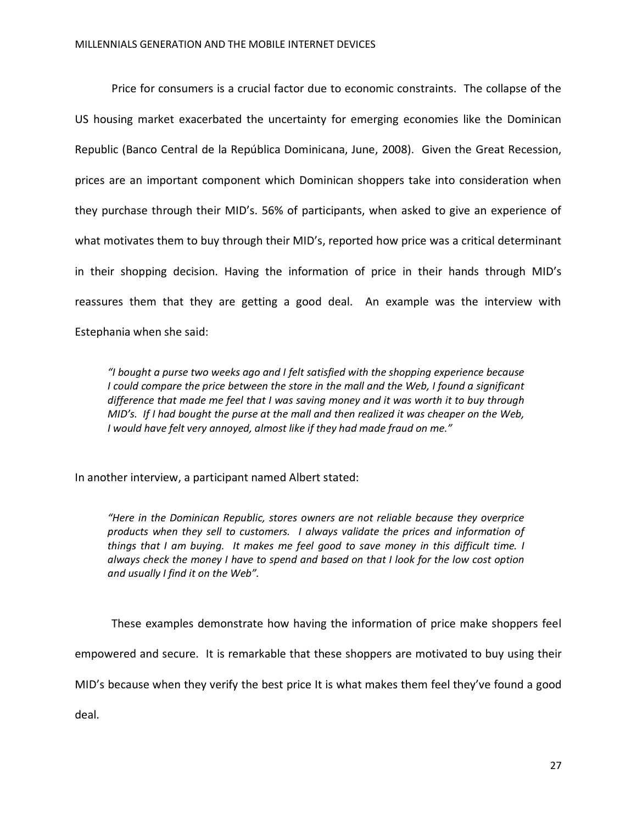Price for consumers is a crucial factor due to economic constraints. The collapse of the US housing market exacerbated the uncertainty for emerging economies like the Dominican Republic (Banco Central de la República Dominicana, June, 2008). Given the Great Recession, prices are an important component which Dominican shoppers take into consideration when they purchase through their MID's. 56% of participants, when asked to give an experience of what motivates them to buy through their MID's, reported how price was a critical determinant in their shopping decision. Having the information of price in their hands through MID's reassures them that they are getting a good deal. An example was the interview with Estephania when she said:

*"I bought a purse two weeks ago and I felt satisfied with the shopping experience because I could compare the price between the store in the mall and the Web, I found a significant difference that made me feel that I was saving money and it was worth it to buy through MID's. If I had bought the purse at the mall and then realized it was cheaper on the Web, I would have felt very annoyed, almost like if they had made fraud on me."*

In another interview, a participant named Albert stated:

*"Here in the Dominican Republic, stores owners are not reliable because they overprice products when they sell to customers. I always validate the prices and information of things that I am buying. It makes me feel good to save money in this difficult time. I always check the money I have to spend and based on that I look for the low cost option and usually I find it on the Web".*

These examples demonstrate how having the information of price make shoppers feel empowered and secure. It is remarkable that these shoppers are motivated to buy using their MID's because when they verify the best price It is what makes them feel they've found a good deal.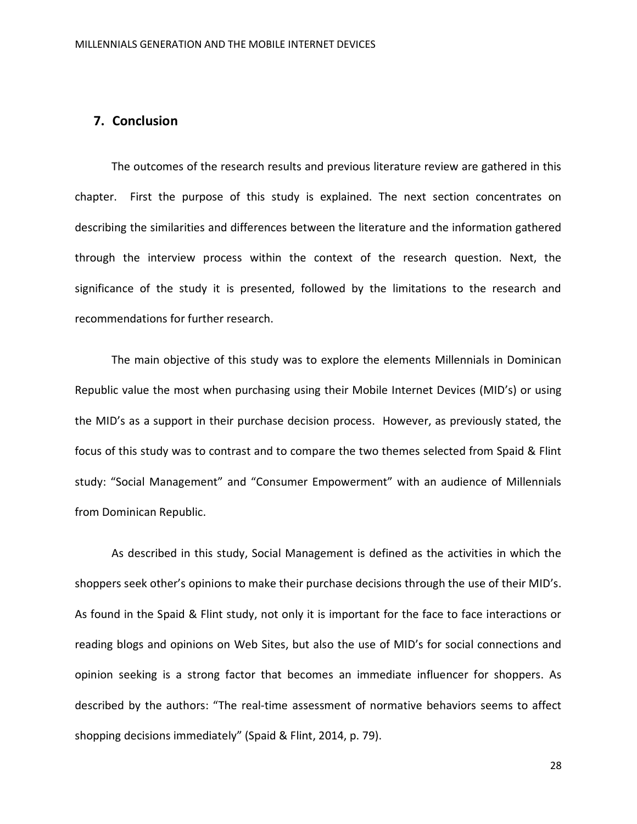# **7. Conclusion**

The outcomes of the research results and previous literature review are gathered in this chapter. First the purpose of this study is explained. The next section concentrates on describing the similarities and differences between the literature and the information gathered through the interview process within the context of the research question. Next, the significance of the study it is presented, followed by the limitations to the research and recommendations for further research.

The main objective of this study was to explore the elements Millennials in Dominican Republic value the most when purchasing using their Mobile Internet Devices (MID's) or using the MID's as a support in their purchase decision process. However, as previously stated, the focus of this study was to contrast and to compare the two themes selected from Spaid & Flint study: "Social Management" and "Consumer Empowerment" with an audience of Millennials from Dominican Republic.

As described in this study, Social Management is defined as the activities in which the shoppers seek other's opinions to make their purchase decisions through the use of their MID's. As found in the Spaid & Flint study, not only it is important for the face to face interactions or reading blogs and opinions on Web Sites, but also the use of MID's for social connections and opinion seeking is a strong factor that becomes an immediate influencer for shoppers. As described by the authors: "The real-time assessment of normative behaviors seems to affect shopping decisions immediately" (Spaid & Flint, 2014, p. 79).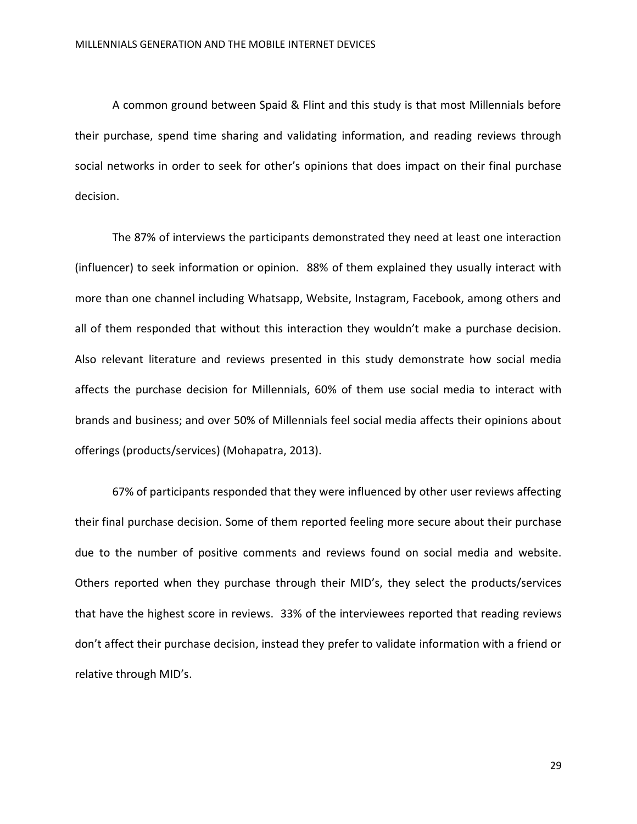A common ground between Spaid & Flint and this study is that most Millennials before their purchase, spend time sharing and validating information, and reading reviews through social networks in order to seek for other's opinions that does impact on their final purchase decision.

The 87% of interviews the participants demonstrated they need at least one interaction (influencer) to seek information or opinion. 88% of them explained they usually interact with more than one channel including Whatsapp, Website, Instagram, Facebook, among others and all of them responded that without this interaction they wouldn't make a purchase decision. Also relevant literature and reviews presented in this study demonstrate how social media affects the purchase decision for Millennials, 60% of them use social media to interact with brands and business; and over 50% of Millennials feel social media affects their opinions about offerings (products/services) (Mohapatra, 2013).

67% of participants responded that they were influenced by other user reviews affecting their final purchase decision. Some of them reported feeling more secure about their purchase due to the number of positive comments and reviews found on social media and website. Others reported when they purchase through their MID's, they select the products/services that have the highest score in reviews. 33% of the interviewees reported that reading reviews don't affect their purchase decision, instead they prefer to validate information with a friend or relative through MID's.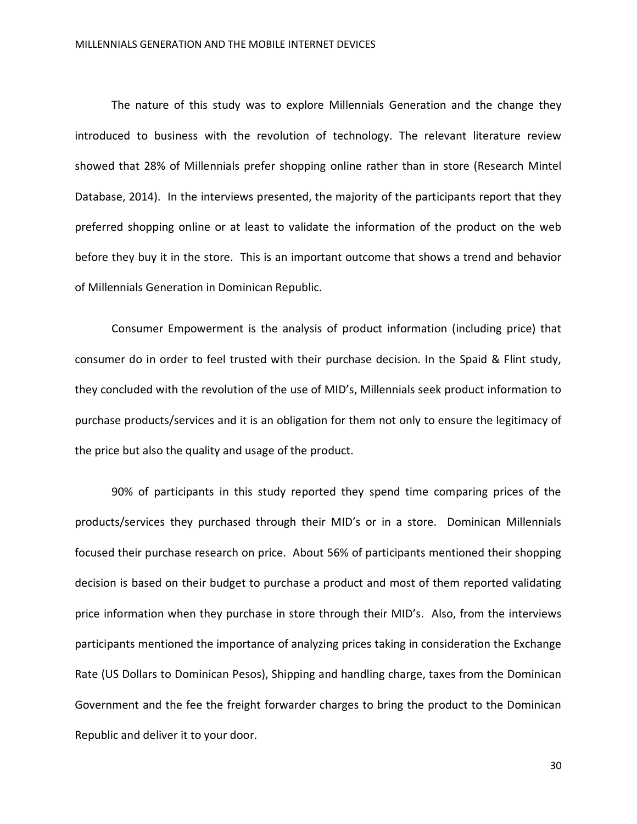The nature of this study was to explore Millennials Generation and the change they introduced to business with the revolution of technology. The relevant literature review showed that 28% of Millennials prefer shopping online rather than in store (Research Mintel Database, 2014). In the interviews presented, the majority of the participants report that they preferred shopping online or at least to validate the information of the product on the web before they buy it in the store. This is an important outcome that shows a trend and behavior of Millennials Generation in Dominican Republic.

Consumer Empowerment is the analysis of product information (including price) that consumer do in order to feel trusted with their purchase decision. In the Spaid & Flint study, they concluded with the revolution of the use of MID's, Millennials seek product information to purchase products/services and it is an obligation for them not only to ensure the legitimacy of the price but also the quality and usage of the product.

90% of participants in this study reported they spend time comparing prices of the products/services they purchased through their MID's or in a store. Dominican Millennials focused their purchase research on price. About 56% of participants mentioned their shopping decision is based on their budget to purchase a product and most of them reported validating price information when they purchase in store through their MID's. Also, from the interviews participants mentioned the importance of analyzing prices taking in consideration the Exchange Rate (US Dollars to Dominican Pesos), Shipping and handling charge, taxes from the Dominican Government and the fee the freight forwarder charges to bring the product to the Dominican Republic and deliver it to your door.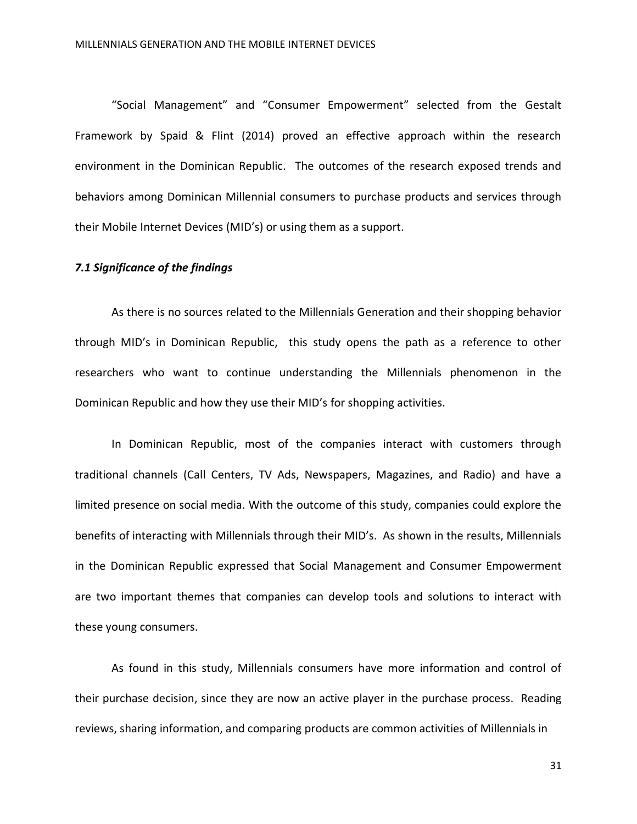"Social Management" and "Consumer Empowerment" selected from the Gestalt Framework by Spaid & Flint (2014) proved an effective approach within the research environment in the Dominican Republic. The outcomes of the research exposed trends and behaviors among Dominican Millennial consumers to purchase products and services through their Mobile Internet Devices (MID's) or using them as a support.

#### *7.1 Significance of the findings*

As there is no sources related to the Millennials Generation and their shopping behavior through MID's in Dominican Republic, this study opens the path as a reference to other researchers who want to continue understanding the Millennials phenomenon in the Dominican Republic and how they use their MID's for shopping activities.

In Dominican Republic, most of the companies interact with customers through traditional channels (Call Centers, TV Ads, Newspapers, Magazines, and Radio) and have a limited presence on social media. With the outcome of this study, companies could explore the benefits of interacting with Millennials through their MID's. As shown in the results, Millennials in the Dominican Republic expressed that Social Management and Consumer Empowerment are two important themes that companies can develop tools and solutions to interact with these young consumers.

As found in this study, Millennials consumers have more information and control of their purchase decision, since they are now an active player in the purchase process. Reading reviews, sharing information, and comparing products are common activities of Millennials in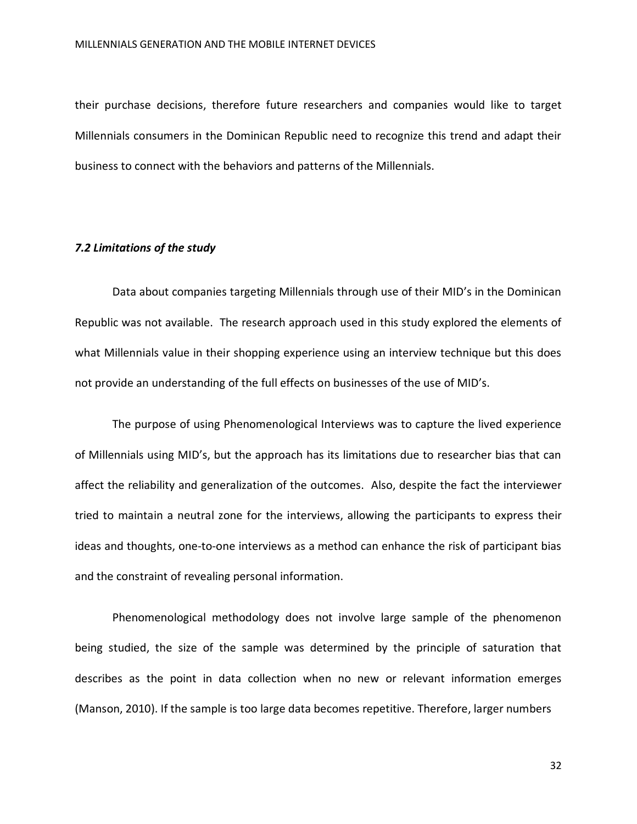their purchase decisions, therefore future researchers and companies would like to target Millennials consumers in the Dominican Republic need to recognize this trend and adapt their business to connect with the behaviors and patterns of the Millennials.

### *7.2 Limitations of the study*

Data about companies targeting Millennials through use of their MID's in the Dominican Republic was not available. The research approach used in this study explored the elements of what Millennials value in their shopping experience using an interview technique but this does not provide an understanding of the full effects on businesses of the use of MID's.

The purpose of using Phenomenological Interviews was to capture the lived experience of Millennials using MID's, but the approach has its limitations due to researcher bias that can affect the reliability and generalization of the outcomes. Also, despite the fact the interviewer tried to maintain a neutral zone for the interviews, allowing the participants to express their ideas and thoughts, one-to-one interviews as a method can enhance the risk of participant bias and the constraint of revealing personal information.

Phenomenological methodology does not involve large sample of the phenomenon being studied, the size of the sample was determined by the principle of saturation that describes as the point in data collection when no new or relevant information emerges (Manson, 2010). If the sample is too large data becomes repetitive. Therefore, larger numbers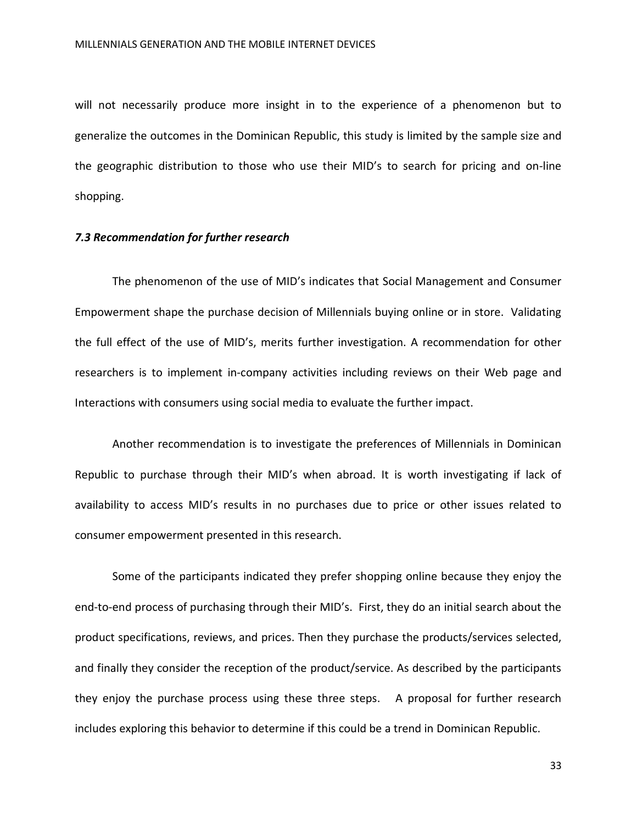will not necessarily produce more insight in to the experience of a phenomenon but to generalize the outcomes in the Dominican Republic, this study is limited by the sample size and the geographic distribution to those who use their MID's to search for pricing and on-line shopping.

#### *7.3 Recommendation for further research*

The phenomenon of the use of MID's indicates that Social Management and Consumer Empowerment shape the purchase decision of Millennials buying online or in store. Validating the full effect of the use of MID's, merits further investigation. A recommendation for other researchers is to implement in-company activities including reviews on their Web page and Interactions with consumers using social media to evaluate the further impact.

Another recommendation is to investigate the preferences of Millennials in Dominican Republic to purchase through their MID's when abroad. It is worth investigating if lack of availability to access MID's results in no purchases due to price or other issues related to consumer empowerment presented in this research.

Some of the participants indicated they prefer shopping online because they enjoy the end-to-end process of purchasing through their MID's. First, they do an initial search about the product specifications, reviews, and prices. Then they purchase the products/services selected, and finally they consider the reception of the product/service. As described by the participants they enjoy the purchase process using these three steps. A proposal for further research includes exploring this behavior to determine if this could be a trend in Dominican Republic.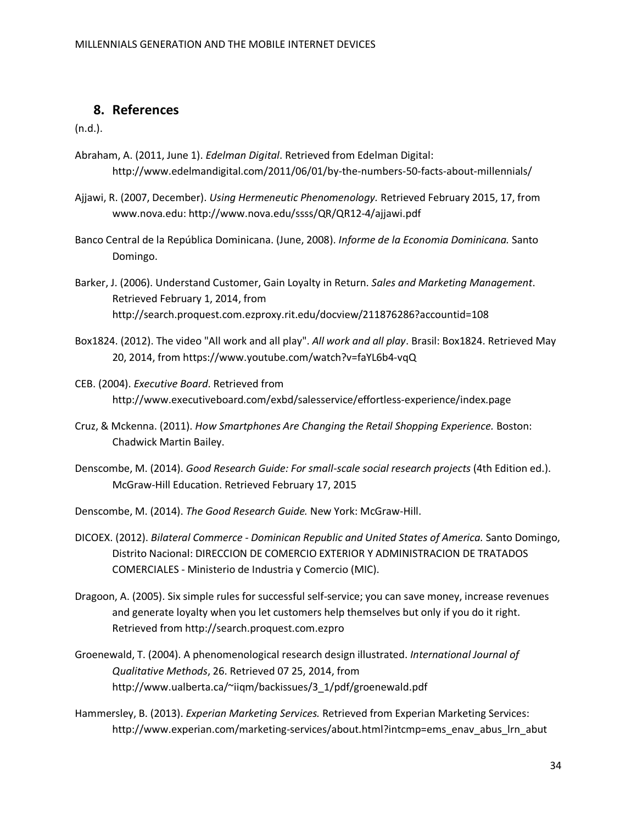# **8. References**

(n.d.).

- Abraham, A. (2011, June 1). *Edelman Digital*. Retrieved from Edelman Digital: http://www.edelmandigital.com/2011/06/01/by-the-numbers-50-facts-about-millennials/
- Ajjawi, R. (2007, December). *Using Hermeneutic Phenomenology.* Retrieved February 2015, 17, from www.nova.edu: http://www.nova.edu/ssss/QR/QR12-4/ajjawi.pdf
- Banco Central de la República Dominicana. (June, 2008). *Informe de la Economia Dominicana.* Santo Domingo.
- Barker, J. (2006). Understand Customer, Gain Loyalty in Return. *Sales and Marketing Management*. Retrieved February 1, 2014, from http://search.proquest.com.ezproxy.rit.edu/docview/211876286?accountid=108
- Box1824. (2012). The video "All work and all play". *All work and all play*. Brasil: Box1824. Retrieved May 20, 2014, from https://www.youtube.com/watch?v=faYL6b4-vqQ
- CEB. (2004). *Executive Board*. Retrieved from http://www.executiveboard.com/exbd/salesservice/effortless-experience/index.page
- Cruz, & Mckenna. (2011). *How Smartphones Are Changing the Retail Shopping Experience.* Boston: Chadwick Martin Bailey.
- Denscombe, M. (2014). *Good Research Guide: For small-scale social research projects* (4th Edition ed.). McGraw-Hill Education. Retrieved February 17, 2015
- Denscombe, M. (2014). *The Good Research Guide.* New York: McGraw-Hill.
- DICOEX. (2012). *Bilateral Commerce - Dominican Republic and United States of America.* Santo Domingo, Distrito Nacional: DIRECCION DE COMERCIO EXTERIOR Y ADMINISTRACION DE TRATADOS COMERCIALES - Ministerio de Industria y Comercio (MIC).
- Dragoon, A. (2005). Six simple rules for successful self-service; you can save money, increase revenues and generate loyalty when you let customers help themselves but only if you do it right. Retrieved from http://search.proquest.com.ezpro
- Groenewald, T. (2004). A phenomenological research design illustrated. *International Journal of Qualitative Methods*, 26. Retrieved 07 25, 2014, from http://www.ualberta.ca/~iiqm/backissues/3\_1/pdf/groenewald.pdf
- Hammersley, B. (2013). *Experian Marketing Services.* Retrieved from Experian Marketing Services: http://www.experian.com/marketing-services/about.html?intcmp=ems\_enav\_abus\_lrn\_abut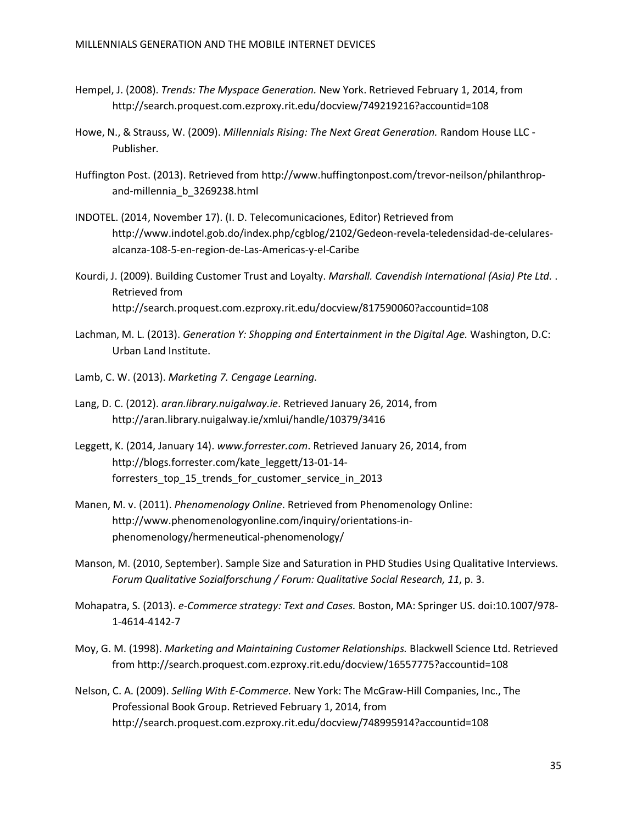- Hempel, J. (2008). *Trends: The Myspace Generation.* New York. Retrieved February 1, 2014, from http://search.proquest.com.ezproxy.rit.edu/docview/749219216?accountid=108
- Howe, N., & Strauss, W. (2009). *Millennials Rising: The Next Great Generation.* Random House LLC Publisher.
- Huffington Post. (2013). Retrieved from http://www.huffingtonpost.com/trevor-neilson/philanthropand-millennia\_b\_3269238.html
- INDOTEL. (2014, November 17). (I. D. Telecomunicaciones, Editor) Retrieved from http://www.indotel.gob.do/index.php/cgblog/2102/Gedeon-revela-teledensidad-de-celularesalcanza-108-5-en-region-de-Las-Americas-y-el-Caribe
- Kourdi, J. (2009). Building Customer Trust and Loyalty. *Marshall. Cavendish International (Asia) Pte Ltd.* . Retrieved from http://search.proquest.com.ezproxy.rit.edu/docview/817590060?accountid=108
- Lachman, M. L. (2013). *Generation Y: Shopping and Entertainment in the Digital Age.* Washington, D.C: Urban Land Institute.
- Lamb, C. W. (2013). *Marketing 7. Cengage Learning.*
- Lang, D. C. (2012). *aran.library.nuigalway.ie*. Retrieved January 26, 2014, from http://aran.library.nuigalway.ie/xmlui/handle/10379/3416
- Leggett, K. (2014, January 14). *www.forrester.com*. Retrieved January 26, 2014, from http://blogs.forrester.com/kate\_leggett/13-01-14 forresters\_top\_15\_trends\_for\_customer\_service\_in\_2013
- Manen, M. v. (2011). *Phenomenology Online*. Retrieved from Phenomenology Online: http://www.phenomenologyonline.com/inquiry/orientations-inphenomenology/hermeneutical-phenomenology/
- Manson, M. (2010, September). Sample Size and Saturation in PHD Studies Using Qualitative Interviews. *Forum Qualitative Sozialforschung / Forum: Qualitative Social Research, 11*, p. 3.
- Mohapatra, S. (2013). *e-Commerce strategy: Text and Cases.* Boston, MA: Springer US. doi:10.1007/978- 1-4614-4142-7
- Moy, G. M. (1998). *Marketing and Maintaining Customer Relationships.* Blackwell Science Ltd. Retrieved from http://search.proquest.com.ezproxy.rit.edu/docview/16557775?accountid=108
- Nelson, C. A. (2009). *Selling With E-Commerce.* New York: The McGraw-Hill Companies, Inc., The Professional Book Group. Retrieved February 1, 2014, from http://search.proquest.com.ezproxy.rit.edu/docview/748995914?accountid=108